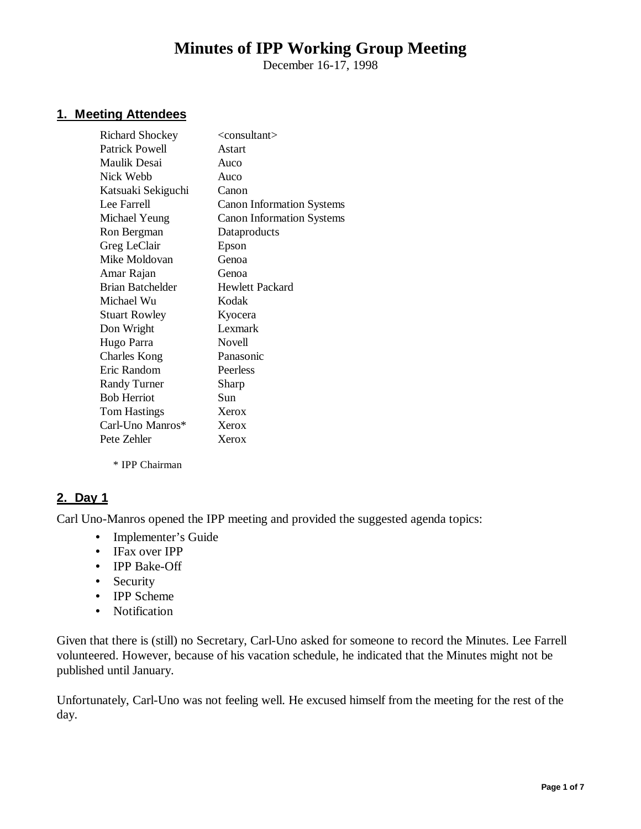# **Minutes of IPP Working Group Meeting**

December 16-17, 1998

#### **1. Meeting Attendees**

| <b>Richard Shockey</b> | <consultant></consultant>        |
|------------------------|----------------------------------|
| Patrick Powell         | Astart                           |
| Maulik Desai           | Auco                             |
| Nick Webb              | Auco                             |
| Katsuaki Sekiguchi     | Canon                            |
| Lee Farrell            | <b>Canon Information Systems</b> |
| Michael Yeung          | <b>Canon Information Systems</b> |
| Ron Bergman            | Dataproducts                     |
| Greg LeClair           | Epson                            |
| Mike Moldovan          | Genoa                            |
| Amar Rajan             | Genoa                            |
| Brian Batchelder       | <b>Hewlett Packard</b>           |
| Michael Wu             | Kodak                            |
| <b>Stuart Rowley</b>   | Kyocera                          |
| Don Wright             | Lexmark                          |
| Hugo Parra             | Novell                           |
| <b>Charles Kong</b>    | Panasonic                        |
| Eric Random            | Peerless                         |
| <b>Randy Turner</b>    | Sharp                            |
| <b>Bob Herriot</b>     | Sun                              |
| <b>Tom Hastings</b>    | Xerox                            |
| Carl-Uno Manros*       | Xerox                            |
| Pete Zehler            | Xerox                            |
|                        |                                  |

\* IPP Chairman

#### **2. Day 1**

Carl Uno-Manros opened the IPP meeting and provided the suggested agenda topics:

- Implementer's Guide
- IFax over IPP
- IPP Bake-Off
- Security
- IPP Scheme
- Notification

Given that there is (still) no Secretary, Carl-Uno asked for someone to record the Minutes. Lee Farrell volunteered. However, because of his vacation schedule, he indicated that the Minutes might not be published until January.

Unfortunately, Carl-Uno was not feeling well. He excused himself from the meeting for the rest of the day.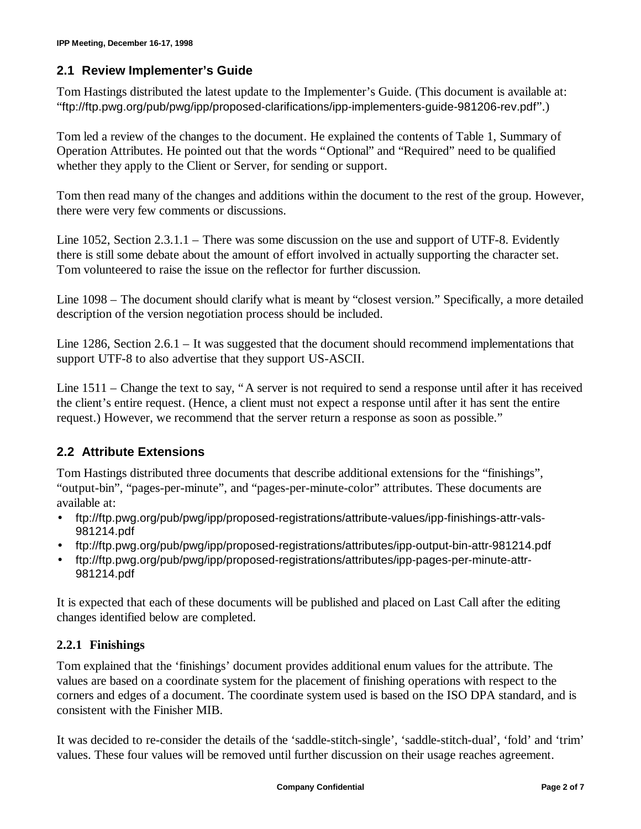#### **2.1 Review Implementer's Guide**

Tom Hastings distributed the latest update to the Implementer's Guide. (This document is available at: "ftp://ftp.pwg.org/pub/pwg/ipp/proposed-clarifications/ipp-implementers-guide-981206-rev.pdf".)

Tom led a review of the changes to the document. He explained the contents of Table 1, Summary of Operation Attributes. He pointed out that the words "Optional" and "Required" need to be qualified whether they apply to the Client or Server, for sending or support.

Tom then read many of the changes and additions within the document to the rest of the group. However, there were very few comments or discussions.

Line 1052, Section 2.3.1.1 – There was some discussion on the use and support of UTF-8. Evidently there is still some debate about the amount of effort involved in actually supporting the character set. Tom volunteered to raise the issue on the reflector for further discussion.

Line 1098 – The document should clarify what is meant by "closest version." Specifically, a more detailed description of the version negotiation process should be included.

Line 1286, Section 2.6.1 – It was suggested that the document should recommend implementations that support UTF-8 to also advertise that they support US-ASCII.

Line 1511 – Change the text to say, "A server is not required to send a response until after it has received the client's entire request. (Hence, a client must not expect a response until after it has sent the entire request.) However, we recommend that the server return a response as soon as possible."

# **2.2 Attribute Extensions**

Tom Hastings distributed three documents that describe additional extensions for the "finishings", "output-bin", "pages-per-minute", and "pages-per-minute-color" attributes. These documents are available at:

- ftp://ftp.pwg.org/pub/pwg/ipp/proposed-registrations/attribute-values/ipp-finishings-attr-vals-981214.pdf
- ftp://ftp.pwg.org/pub/pwg/ipp/proposed-registrations/attributes/ipp-output-bin-attr-981214.pdf
- ftp://ftp.pwg.org/pub/pwg/ipp/proposed-registrations/attributes/ipp-pages-per-minute-attr-981214.pdf

It is expected that each of these documents will be published and placed on Last Call after the editing changes identified below are completed.

# **2.2.1 Finishings**

Tom explained that the 'finishings' document provides additional enum values for the attribute. The values are based on a coordinate system for the placement of finishing operations with respect to the corners and edges of a document. The coordinate system used is based on the ISO DPA standard, and is consistent with the Finisher MIB.

It was decided to re-consider the details of the 'saddle-stitch-single', 'saddle-stitch-dual', 'fold' and 'trim' values. These four values will be removed until further discussion on their usage reaches agreement.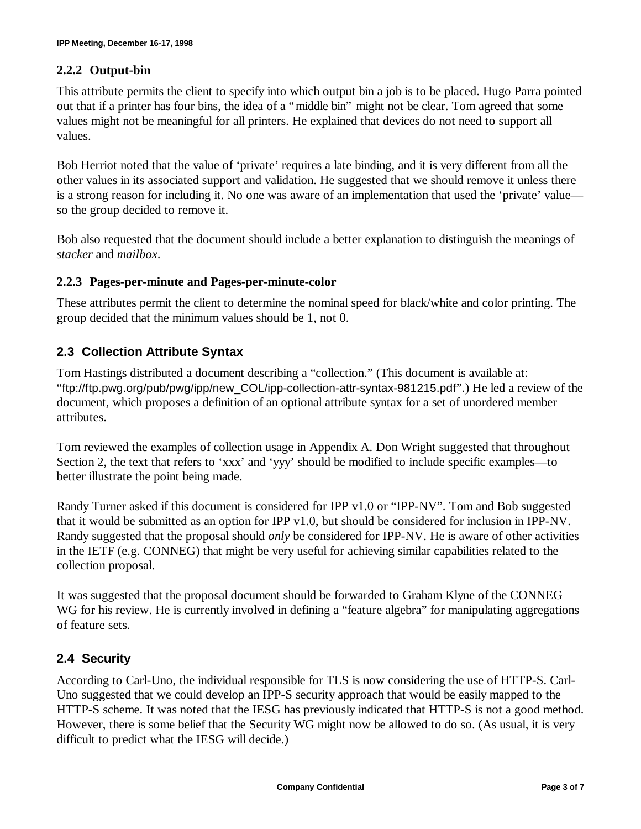#### **2.2.2 Output-bin**

This attribute permits the client to specify into which output bin a job is to be placed. Hugo Parra pointed out that if a printer has four bins, the idea of a "middle bin" might not be clear. Tom agreed that some values might not be meaningful for all printers. He explained that devices do not need to support all values.

Bob Herriot noted that the value of 'private' requires a late binding, and it is very different from all the other values in its associated support and validation. He suggested that we should remove it unless there is a strong reason for including it. No one was aware of an implementation that used the 'private' value so the group decided to remove it.

Bob also requested that the document should include a better explanation to distinguish the meanings of *stacker* and *mailbox*.

#### **2.2.3 Pages-per-minute and Pages-per-minute-color**

These attributes permit the client to determine the nominal speed for black/white and color printing. The group decided that the minimum values should be 1, not 0.

# **2.3 Collection Attribute Syntax**

Tom Hastings distributed a document describing a "collection." (This document is available at: "ftp://ftp.pwg.org/pub/pwg/ipp/new\_COL/ipp-collection-attr-syntax-981215.pdf".) He led a review of the document, which proposes a definition of an optional attribute syntax for a set of unordered member attributes.

Tom reviewed the examples of collection usage in Appendix A. Don Wright suggested that throughout Section 2, the text that refers to 'xxx' and 'yyy' should be modified to include specific examples— to better illustrate the point being made.

Randy Turner asked if this document is considered for IPP v1.0 or "IPP-NV". Tom and Bob suggested that it would be submitted as an option for IPP v1.0, but should be considered for inclusion in IPP-NV. Randy suggested that the proposal should *only* be considered for IPP-NV. He is aware of other activities in the IETF (e.g. CONNEG) that might be very useful for achieving similar capabilities related to the collection proposal.

It was suggested that the proposal document should be forwarded to Graham Klyne of the CONNEG WG for his review. He is currently involved in defining a "feature algebra" for manipulating aggregations of feature sets.

# **2.4 Security**

According to Carl-Uno, the individual responsible for TLS is now considering the use of HTTP-S. Carl-Uno suggested that we could develop an IPP-S security approach that would be easily mapped to the HTTP-S scheme. It was noted that the IESG has previously indicated that HTTP-S is not a good method. However, there is some belief that the Security WG might now be allowed to do so. (As usual, it is very difficult to predict what the IESG will decide.)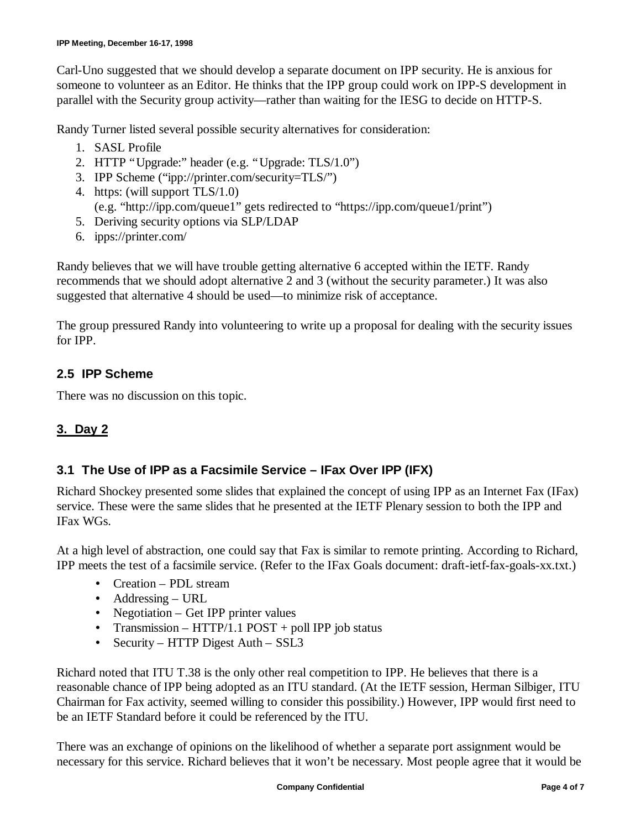Carl-Uno suggested that we should develop a separate document on IPP security. He is anxious for someone to volunteer as an Editor. He thinks that the IPP group could work on IPP-S development in parallel with the Security group activity— rather than waiting for the IESG to decide on HTTP-S.

Randy Turner listed several possible security alternatives for consideration:

- 1. SASL Profile
- 2. HTTP "Upgrade:" header (e.g. "Upgrade: TLS/1.0")
- 3. IPP Scheme ("ipp://printer.com/security=TLS/")
- 4. https: (will support TLS/1.0)
	- (e.g. "http://ipp.com/queue1" gets redirected to "https://ipp.com/queue1/print")
- 5. Deriving security options via SLP/LDAP
- 6. ipps://printer.com/

Randy believes that we will have trouble getting alternative 6 accepted within the IETF. Randy recommends that we should adopt alternative 2 and 3 (without the security parameter.) It was also suggested that alternative 4 should be used— to minimize risk of acceptance.

The group pressured Randy into volunteering to write up a proposal for dealing with the security issues for IPP.

# **2.5 IPP Scheme**

There was no discussion on this topic.

# **3. Day 2**

# **3.1 The Use of IPP as a Facsimile Service – IFax Over IPP (IFX)**

Richard Shockey presented some slides that explained the concept of using IPP as an Internet Fax (IFax) service. These were the same slides that he presented at the IETF Plenary session to both the IPP and IFax WGs.

At a high level of abstraction, one could say that Fax is similar to remote printing. According to Richard, IPP meets the test of a facsimile service. (Refer to the IFax Goals document: draft-ietf-fax-goals-xx.txt.)

- Creation PDL stream
- Addressing URL
- Negotiation Get IPP printer values
- Transmission HTTP/1.1 POST + poll IPP job status
- Security HTTP Digest Auth SSL3

Richard noted that ITU T.38 is the only other real competition to IPP. He believes that there is a reasonable chance of IPP being adopted as an ITU standard. (At the IETF session, Herman Silbiger, ITU Chairman for Fax activity, seemed willing to consider this possibility.) However, IPP would first need to be an IETF Standard before it could be referenced by the ITU.

There was an exchange of opinions on the likelihood of whether a separate port assignment would be necessary for this service. Richard believes that it won't be necessary. Most people agree that it would be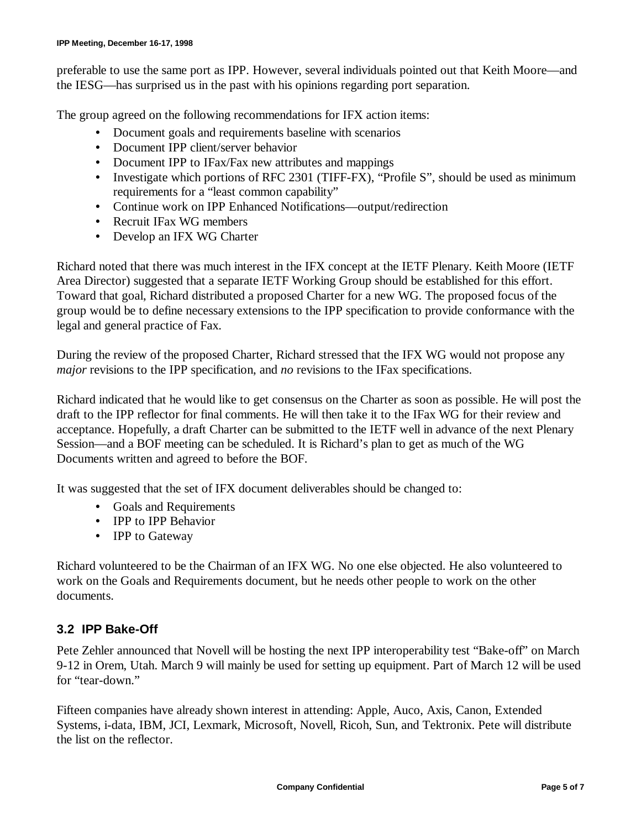preferable to use the same port as IPP. However, several individuals pointed out that Keith Moore— and the IESG— has surprised us in the past with his opinions regarding port separation.

The group agreed on the following recommendations for IFX action items:

- Document goals and requirements baseline with scenarios
- Document IPP client/server behavior
- Document IPP to IFax/Fax new attributes and mappings
- Investigate which portions of RFC 2301 (TIFF-FX), "Profile S", should be used as minimum requirements for a "least common capability"
- Continue work on IPP Enhanced Notifications— output/redirection
- Recruit IFax WG members
- Develop an IFX WG Charter

Richard noted that there was much interest in the IFX concept at the IETF Plenary. Keith Moore (IETF Area Director) suggested that a separate IETF Working Group should be established for this effort. Toward that goal, Richard distributed a proposed Charter for a new WG. The proposed focus of the group would be to define necessary extensions to the IPP specification to provide conformance with the legal and general practice of Fax.

During the review of the proposed Charter, Richard stressed that the IFX WG would not propose any *major* revisions to the IPP specification, and *no* revisions to the IFax specifications.

Richard indicated that he would like to get consensus on the Charter as soon as possible. He will post the draft to the IPP reflector for final comments. He will then take it to the IFax WG for their review and acceptance. Hopefully, a draft Charter can be submitted to the IETF well in advance of the next Plenary Session— and a BOF meeting can be scheduled. It is Richard's plan to get as much of the WG Documents written and agreed to before the BOF.

It was suggested that the set of IFX document deliverables should be changed to:

- Goals and Requirements
- IPP to IPP Behavior
- IPP to Gateway

Richard volunteered to be the Chairman of an IFX WG. No one else objected. He also volunteered to work on the Goals and Requirements document, but he needs other people to work on the other documents.

#### **3.2 IPP Bake-Off**

Pete Zehler announced that Novell will be hosting the next IPP interoperability test "Bake-off" on March 9-12 in Orem, Utah. March 9 will mainly be used for setting up equipment. Part of March 12 will be used for "tear-down."

Fifteen companies have already shown interest in attending: Apple, Auco, Axis, Canon, Extended Systems, i-data, IBM, JCI, Lexmark, Microsoft, Novell, Ricoh, Sun, and Tektronix. Pete will distribute the list on the reflector.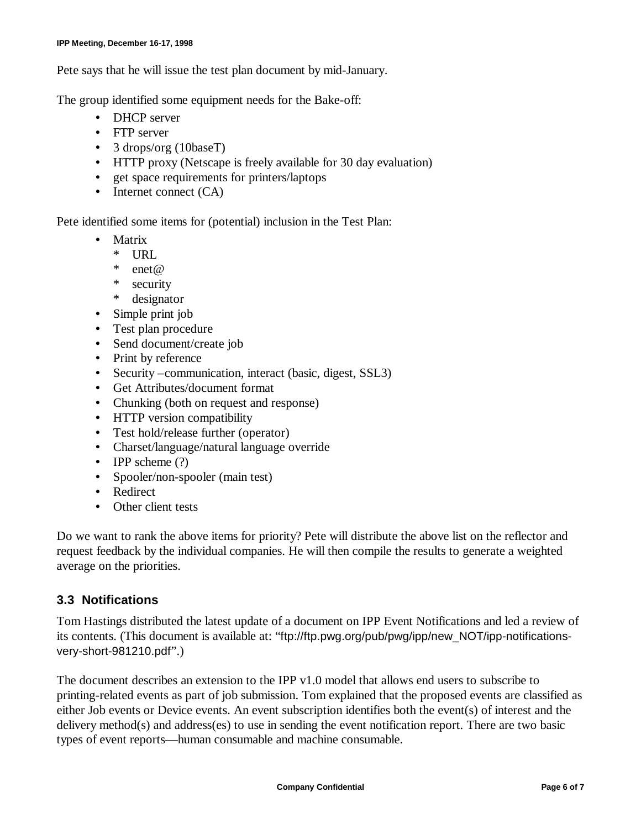Pete says that he will issue the test plan document by mid-January.

The group identified some equipment needs for the Bake-off:

- DHCP server
- FTP server
- 3 drops/org (10baseT)
- HTTP proxy (Netscape is freely available for 30 day evaluation)
- get space requirements for printers/laptops
- Internet connect (CA)

Pete identified some items for (potential) inclusion in the Test Plan:

- Matrix
	- \* URL
	- \* enet  $@$ <br>\* securit
	- security
	- \* designator
- Simple print job
- Test plan procedure
- Send document/create job
- Print by reference
- Security –communication, interact (basic, digest, SSL3)
- Get Attributes/document format
- Chunking (both on request and response)
- HTTP version compatibility
- Test hold/release further (operator)
- Charset/language/natural language override
- IPP scheme (?)
- Spooler/non-spooler (main test)
- Redirect
- Other client tests

Do we want to rank the above items for priority? Pete will distribute the above list on the reflector and request feedback by the individual companies. He will then compile the results to generate a weighted average on the priorities.

# **3.3 Notifications**

Tom Hastings distributed the latest update of a document on IPP Event Notifications and led a review of its contents. (This document is available at: "ftp://ftp.pwg.org/pub/pwg/ipp/new\_NOT/ipp-notificationsvery-short-981210.pdf".)

The document describes an extension to the IPP v1.0 model that allows end users to subscribe to printing-related events as part of job submission. Tom explained that the proposed events are classified as either Job events or Device events. An event subscription identifies both the event(s) of interest and the delivery method(s) and address(es) to use in sending the event notification report. There are two basic types of event reports— human consumable and machine consumable.